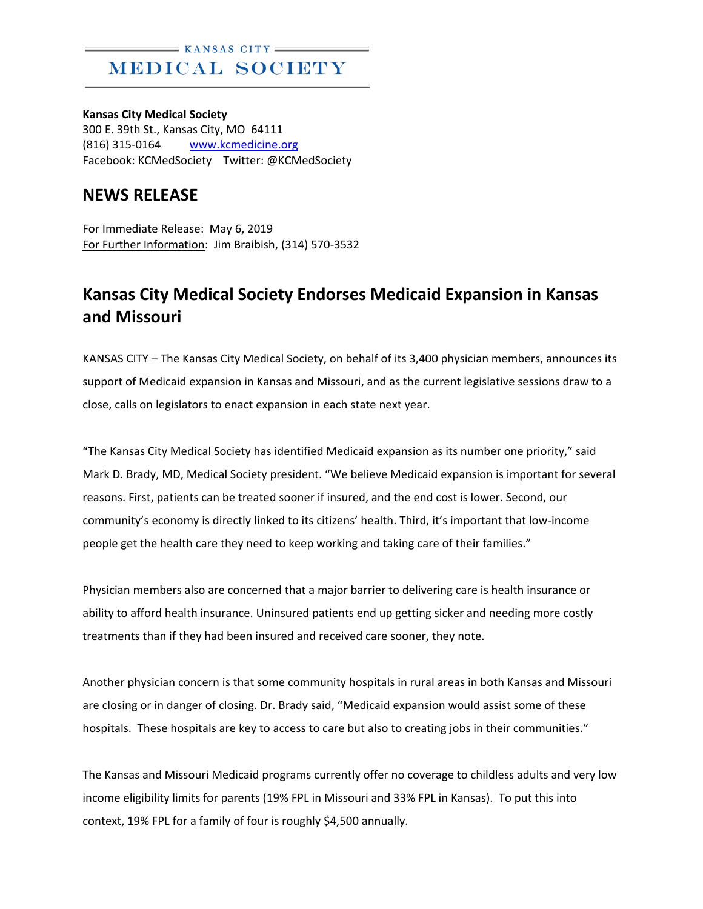## $=$  KANSAS CITY MEDICAL SOCIETY

**Kansas City Medical Society** 300 E. 39th St., Kansas City, MO 64111 (816) 315-0164 [www.kcmedicine.org](http://www.kcmedicine.org/) Facebook: KCMedSociety Twitter: @KCMedSociety

## **NEWS RELEASE**

For Immediate Release: May 6, 2019 For Further Information: Jim Braibish, (314) 570-3532

## **Kansas City Medical Society Endorses Medicaid Expansion in Kansas and Missouri**

KANSAS CITY – The Kansas City Medical Society, on behalf of its 3,400 physician members, announces its support of Medicaid expansion in Kansas and Missouri, and as the current legislative sessions draw to a close, calls on legislators to enact expansion in each state next year.

"The Kansas City Medical Society has identified Medicaid expansion as its number one priority," said Mark D. Brady, MD, Medical Society president. "We believe Medicaid expansion is important for several reasons. First, patients can be treated sooner if insured, and the end cost is lower. Second, our community's economy is directly linked to its citizens' health. Third, it's important that low-income people get the health care they need to keep working and taking care of their families."

Physician members also are concerned that a major barrier to delivering care is health insurance or ability to afford health insurance. Uninsured patients end up getting sicker and needing more costly treatments than if they had been insured and received care sooner, they note.

Another physician concern is that some community hospitals in rural areas in both Kansas and Missouri are closing or in danger of closing. Dr. Brady said, "Medicaid expansion would assist some of these hospitals. These hospitals are key to access to care but also to creating jobs in their communities."

The Kansas and Missouri Medicaid programs currently offer no coverage to childless adults and very low income eligibility limits for parents (19% FPL in Missouri and 33% FPL in Kansas). To put this into context, 19% FPL for a family of four is roughly \$4,500 annually.